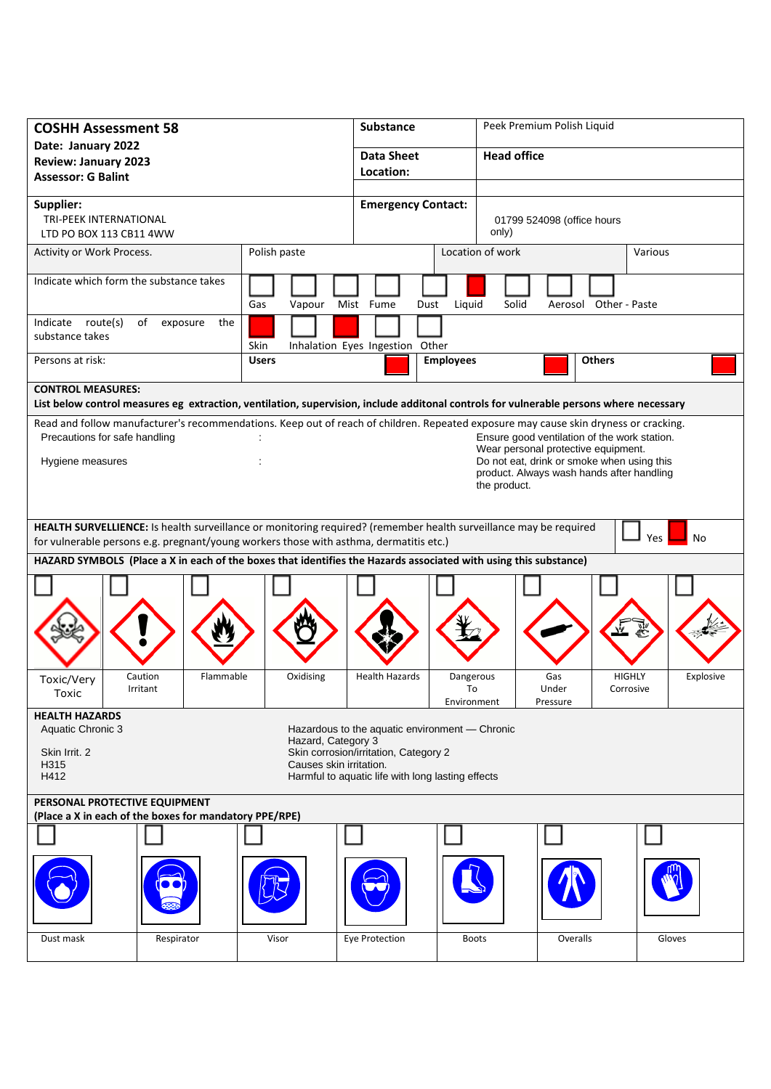| <b>COSHH Assessment 58</b>                                                                                                                                            |                    | Substance                                      |                            | Peek Premium Polish Liquid                                                        |               |           |  |
|-----------------------------------------------------------------------------------------------------------------------------------------------------------------------|--------------------|------------------------------------------------|----------------------------|-----------------------------------------------------------------------------------|---------------|-----------|--|
| Date: January 2022<br><b>Review: January 2023</b>                                                                                                                     |                    | Data Sheet                                     |                            | <b>Head office</b>                                                                |               |           |  |
| <b>Assessor: G Balint</b>                                                                                                                                             |                    | Location:                                      |                            |                                                                                   |               |           |  |
| Supplier:                                                                                                                                                             |                    | <b>Emergency Contact:</b>                      |                            |                                                                                   |               |           |  |
| TRI-PEEK INTERNATIONAL                                                                                                                                                |                    |                                                | 01799 524098 (office hours |                                                                                   |               |           |  |
| LTD PO BOX 113 CB11 4WW                                                                                                                                               |                    |                                                | only)                      |                                                                                   |               |           |  |
| Activity or Work Process.                                                                                                                                             | Polish paste       |                                                | Location of work           | Various                                                                           |               |           |  |
| Indicate which form the substance takes                                                                                                                               | Gas<br>Vapour      | Mist Fume<br>Dust                              | Liquid<br>Solid            | Aerosol Other - Paste                                                             |               |           |  |
| route(s)<br>Indicate<br>of<br>exposure<br>the<br>substance takes                                                                                                      | Skin               | Inhalation Eyes Ingestion Other                |                            |                                                                                   |               |           |  |
| Persons at risk:                                                                                                                                                      | <b>Users</b>       |                                                | <b>Employees</b>           | <b>Others</b>                                                                     |               |           |  |
| <b>CONTROL MEASURES:</b>                                                                                                                                              |                    |                                                |                            |                                                                                   |               |           |  |
| List below control measures eg extraction, ventilation, supervision, include additonal controls for vulnerable persons where necessary                                |                    |                                                |                            |                                                                                   |               |           |  |
| Read and follow manufacturer's recommendations. Keep out of reach of children. Repeated exposure may cause skin dryness or cracking.<br>Precautions for safe handling |                    |                                                |                            | Ensure good ventilation of the work station.                                      |               |           |  |
| Hygiene measures                                                                                                                                                      |                    |                                                |                            | Wear personal protective equipment.<br>Do not eat, drink or smoke when using this |               |           |  |
|                                                                                                                                                                       |                    |                                                |                            | product. Always wash hands after handling                                         |               |           |  |
|                                                                                                                                                                       |                    |                                                | the product.               |                                                                                   |               |           |  |
| HEALTH SURVELLIENCE: Is health surveillance or monitoring required? (remember health surveillance may be required                                                     |                    |                                                |                            |                                                                                   |               |           |  |
| Yes<br>No<br>for vulnerable persons e.g. pregnant/young workers those with asthma, dermatitis etc.)                                                                   |                    |                                                |                            |                                                                                   |               |           |  |
| HAZARD SYMBOLS (Place a X in each of the boxes that identifies the Hazards associated with using this substance)                                                      |                    |                                                |                            |                                                                                   |               |           |  |
|                                                                                                                                                                       |                    |                                                |                            |                                                                                   |               |           |  |
|                                                                                                                                                                       |                    |                                                |                            |                                                                                   |               |           |  |
|                                                                                                                                                                       |                    |                                                |                            |                                                                                   |               |           |  |
|                                                                                                                                                                       |                    |                                                |                            |                                                                                   |               |           |  |
| Flammable<br>Caution<br>Toxic/Very                                                                                                                                    | Oxidising          | <b>Health Hazards</b>                          | Dangerous                  | Gas                                                                               | <b>HIGHLY</b> | Explosive |  |
| Irritant<br>Toxic                                                                                                                                                     |                    |                                                | To<br>Environment          | Under<br>Pressure                                                                 | Corrosive     |           |  |
| <b>HEALTH HAZARDS</b><br>Aquatic Chronic 3                                                                                                                            |                    | Hazardous to the aquatic environment - Chronic |                            |                                                                                   |               |           |  |
| Skin Irrit. 2                                                                                                                                                         | Hazard, Category 3 |                                                |                            |                                                                                   |               |           |  |
| Skin corrosion/irritation, Category 2<br>Causes skin irritation.<br>H315                                                                                              |                    |                                                |                            |                                                                                   |               |           |  |
| Harmful to aquatic life with long lasting effects<br>H412                                                                                                             |                    |                                                |                            |                                                                                   |               |           |  |
| PERSONAL PROTECTIVE EQUIPMENT<br>(Place a X in each of the boxes for mandatory PPE/RPE)                                                                               |                    |                                                |                            |                                                                                   |               |           |  |
|                                                                                                                                                                       |                    |                                                |                            |                                                                                   |               |           |  |
|                                                                                                                                                                       |                    |                                                |                            |                                                                                   |               |           |  |
|                                                                                                                                                                       |                    |                                                |                            |                                                                                   |               |           |  |
|                                                                                                                                                                       |                    |                                                |                            |                                                                                   |               |           |  |
| Respirator<br>Dust mask                                                                                                                                               | Visor              | Eye Protection                                 | <b>Boots</b>               | Overalls                                                                          |               | Gloves    |  |
|                                                                                                                                                                       |                    |                                                |                            |                                                                                   |               |           |  |